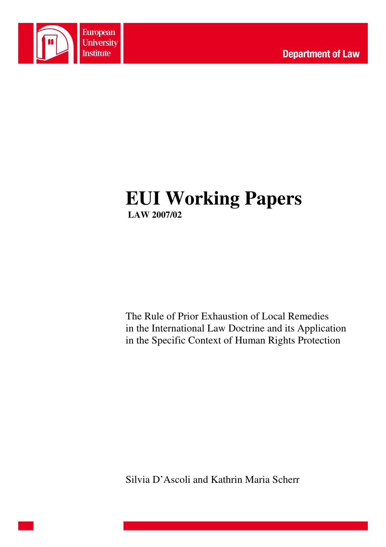

# **EUI Working Papers LAW 2007/02**

The Rule of Prior Exhaustion of Local Remedies in the International Law Doctrine and its Application in the Specific Context of Human Rights Protection

Silvia D'Ascoli and Kathrin Maria Scherr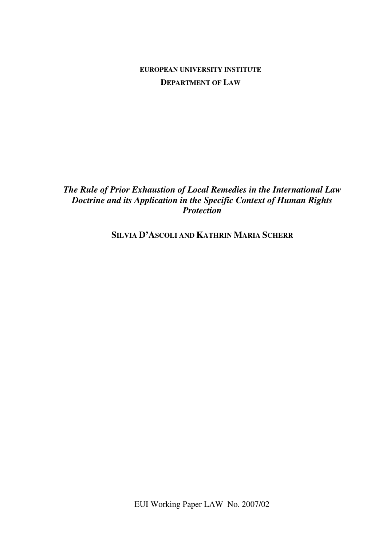**EUROPEAN UNIVERSITY INSTITUTE DEPARTMENT OF LAW**

*The Rule of Prior Exhaustion of Local Remedies in the International Law Doctrine and its Application in the Specific Context of Human Rights Protection*

**SILVIA D'ASCOLI AND KATHRIN MARIA SCHERR**

EUI Working Paper LAW No. 2007/02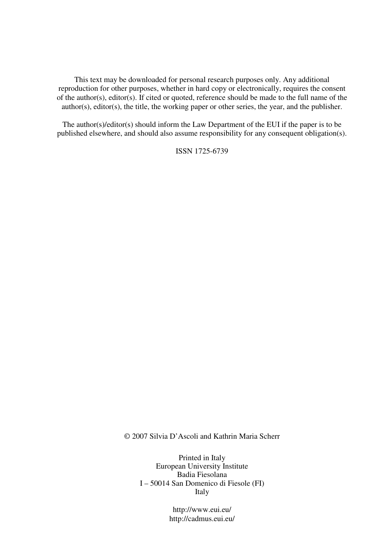This text may be downloaded for personal research purposes only. Any additional reproduction for other purposes, whether in hard copy or electronically, requires the consent of the author(s), editor(s). If cited or quoted, reference should be made to the full name of the author(s), editor(s), the title, the working paper or other series, the year, and the publisher.

The author(s)/editor(s) should inform the Law Department of the EUI if the paper is to be published elsewhere, and should also assume responsibility for any consequent obligation(s).

ISSN 1725-6739

© 2007 Silvia D'Ascoli and Kathrin Maria Scherr

Printed in Italy European University Institute Badia Fiesolana I – 50014 San Domenico di Fiesole (FI) Italy

> http://www.eui.eu/ http://cadmus.eui.eu/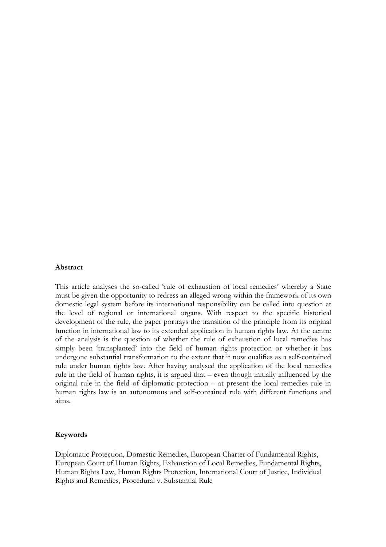#### Abstract

This article analyses the so-called 'rule of exhaustion of local remedies' whereby a State must be given the opportunity to redress an alleged wrong within the framework of its own domestic legal system before its international responsibility can be called into question at the level of regional or international organs. With respect to the specific historical development of the rule, the paper portrays the transition of the principle from its original function in international law to its extended application in human rights law. At the centre of the analysis is the question of whether the rule of exhaustion of local remedies has simply been 'transplanted' into the field of human rights protection or whether it has undergone substantial transformation to the extent that it now qualifies as a self-contained rule under human rights law. After having analysed the application of the local remedies rule in the field of human rights, it is argued that – even though initially influenced by the original rule in the field of diplomatic protection – at present the local remedies rule in human rights law is an autonomous and self-contained rule with different functions and aims.

#### Keywords

Diplomatic Protection, Domestic Remedies, European Charter of Fundamental Rights, European Court of Human Rights, Exhaustion of Local Remedies, Fundamental Rights, Human Rights Law, Human Rights Protection, International Court of Justice, Individual Rights and Remedies, Procedural v. Substantial Rule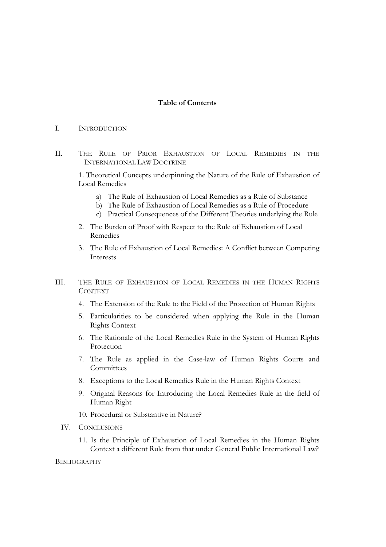#### Table of Contents

#### I. INTRODUCTION

II. THE RULE OF PRIOR EXHAUSTION OF LOCAL REMEDIES IN THE INTERNATIONAL LAW DOCTRINE

1. Theoretical Concepts underpinning the Nature of the Rule of Exhaustion of Local Remedies

- a) The Rule of Exhaustion of Local Remedies as a Rule of Substance
- b) The Rule of Exhaustion of Local Remedies as a Rule of Procedure
- c) Practical Consequences of the Different Theories underlying the Rule
- 2. The Burden of Proof with Respect to the Rule of Exhaustion of Local Remedies
- 3. The Rule of Exhaustion of Local Remedies: A Conflict between Competing Interests
- III. THE RULE OF EXHAUSTION OF LOCAL REMEDIES IN THE HUMAN RIGHTS **CONTEXT** 
	- 4. The Extension of the Rule to the Field of the Protection of Human Rights
	- 5. Particularities to be considered when applying the Rule in the Human Rights Context
	- 6. The Rationale of the Local Remedies Rule in the System of Human Rights Protection
	- 7. The Rule as applied in the Case-law of Human Rights Courts and **Committees**
	- 8. Exceptions to the Local Remedies Rule in the Human Rights Context
	- 9. Original Reasons for Introducing the Local Remedies Rule in the field of Human Right
	- 10. Procedural or Substantive in Nature?
	- IV. CONCLUSIONS
		- 11. Is the Principle of Exhaustion of Local Remedies in the Human Rights Context a different Rule from that under General Public International Law?

**BIBLIOGRAPHY**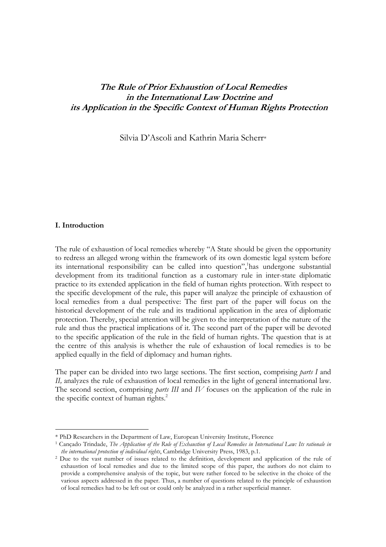# The Rule of Prior Exhaustion of Local Remedies in the International Law Doctrine and its Application in the Specific Context of Human Rights Protection

Silvia D'Ascoli and Kathrin Maria Scherr\*

#### I. Introduction

 $\overline{a}$ 

The rule of exhaustion of local remedies whereby "A State should be given the opportunity to redress an alleged wrong within the framework of its own domestic legal system before its international responsibility can be called into question", has undergone substantial development from its traditional function as a customary rule in inter-state diplomatic practice to its extended application in the field of human rights protection. With respect to the specific development of the rule, this paper will analyze the principle of exhaustion of local remedies from a dual perspective: The first part of the paper will focus on the historical development of the rule and its traditional application in the area of diplomatic protection. Thereby, special attention will be given to the interpretation of the nature of the rule and thus the practical implications of it. The second part of the paper will be devoted to the specific application of the rule in the field of human rights. The question that is at the centre of this analysis is whether the rule of exhaustion of local remedies is to be applied equally in the field of diplomacy and human rights.

The paper can be divided into two large sections. The first section, comprising *parts I* and II, analyzes the rule of exhaustion of local remedies in the light of general international law. The second section, comprising *parts III* and *IV* focuses on the application of the rule in the specific context of human rights.<sup>2</sup>

<sup>\*</sup> PhD Researchers in the Department of Law, European University Institute, Florence

<sup>&</sup>lt;sup>1</sup> Cançado Trindade, The Application of the Rule of Exhaustion of Local Remedies in International Law: Its rationale in the international protection of individual rights, Cambridge University Press, 1983, p.1.

<sup>&</sup>lt;sup>2</sup> Due to the vast number of issues related to the definition, development and application of the rule of exhaustion of local remedies and due to the limited scope of this paper, the authors do not claim to provide a comprehensive analysis of the topic, but were rather forced to be selective in the choice of the various aspects addressed in the paper. Thus, a number of questions related to the principle of exhaustion of local remedies had to be left out or could only be analyzed in a rather superficial manner.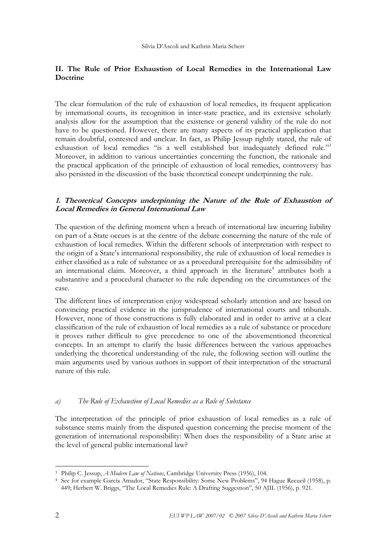# II. The Rule of Prior Exhaustion of Local Remedies in the International Law Doctrine

The clear formulation of the rule of exhaustion of local remedies, its frequent application by international courts, its recognition in inter-state practice, and its extensive scholarly analysis allow for the assumption that the existence or general validity of the rule do not have to be questioned. However, there are many aspects of its practical application that remain doubtful, contested and unclear. In fact, as Philip Jessup rightly stated, the rule of exhaustion of local remedies "is a well established but inadequately defined rule."<sup>3</sup> Moreover, in addition to various uncertainties concerning the function, the rationale and the practical application of the principle of exhaustion of local remedies, controversy has also persisted in the discussion of the basic theoretical concept underpinning the rule.

## 1. Theoretical Concepts underpinning the Nature of the Rule of Exhaustion of Local Remedies in General International Law

The question of the defining moment when a breach of international law incurring liability on part of a State occurs is at the centre of the debate concerning the nature of the rule of exhaustion of local remedies. Within the different schools of interpretation with respect to the origin of a State's international responsibility, the rule of exhaustion of local remedies is either classified as a rule of substance or as a procedural prerequisite for the admissibility of an international claim. Moreover, a third approach in the literature<sup>4</sup> attributes both a substantive and a procedural character to the rule depending on the circumstances of the case.

The different lines of interpretation enjoy widespread scholarly attention and are based on convincing practical evidence in the jurisprudence of international courts and tribunals. However, none of those constructions is fully elaborated and in order to arrive at a clear classification of the rule of exhaustion of local remedies as a rule of substance or procedure it proves rather difficult to give precedence to one of the abovementioned theoretical concepts. In an attempt to clarify the basic differences between the various approaches underlying the theoretical understanding of the rule, the following section will outline the main arguments used by various authors in support of their interpretation of the structural nature of this rule.

## a) The Rule of Exhaustion of Local Remedies as a Rule of Substance

The interpretation of the principle of prior exhaustion of local remedies as a rule of substance stems mainly from the disputed question concerning the precise moment of the generation of international responsibility: When does the responsibility of a State arise at the level of general public international law?

 $\overline{a}$ <sup>3</sup> Philip C. Jessup, *A Modern Law of Nations*, Cambridge University Press (1956), 104.

<sup>4</sup> See for example García Amador, "State Responsibility: Some New Problems", 94 Hague Recueil (1958), p. 449; Herbert W. Briggs, "The Local Remedies Rule: A Drafting Suggestion", 50 AJIL (1956), p. 921.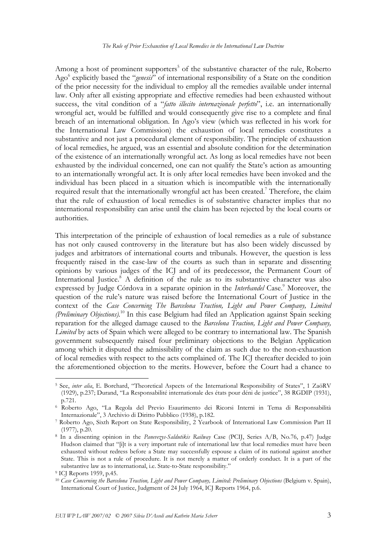Among a host of prominent supporters<sup>5</sup> of the substantive character of the rule, Roberto Ago<sup>6</sup> explicitly based the "genesis" of international responsibility of a State on the condition of the prior necessity for the individual to employ all the remedies available under internal law. Only after all existing appropriate and effective remedies had been exhausted without success, the vital condition of a "*fatto illecito internazionale perfetto*", i.e. an internationally wrongful act, would be fulfilled and would consequently give rise to a complete and final breach of an international obligation. In Ago's view (which was reflected in his work for the International Law Commission) the exhaustion of local remedies constitutes a substantive and not just a procedural element of responsibility. The principle of exhaustion of local remedies, he argued, was an essential and absolute condition for the determination of the existence of an internationally wrongful act. As long as local remedies have not been exhausted by the individual concerned, one can not qualify the State's action as amounting to an internationally wrongful act. It is only after local remedies have been invoked and the individual has been placed in a situation which is incompatible with the internationally required result that the internationally wrongful act has been created.<sup>7</sup> Therefore, the claim that the rule of exhaustion of local remedies is of substantive character implies that no international responsibility can arise until the claim has been rejected by the local courts or authorities.

This interpretation of the principle of exhaustion of local remedies as a rule of substance has not only caused controversy in the literature but has also been widely discussed by judges and arbitrators of international courts and tribunals. However, the question is less frequently raised in the case-law of the courts as such than in separate and dissenting opinions by various judges of the ICJ and of its predecessor, the Permanent Court of International Justice.<sup>8</sup> A definition of the rule as to its substantive character was also expressed by Judge Córdova in a separate opinion in the *Interhandel* Case.<sup>9</sup> Moreover, the question of the rule's nature was raised before the International Court of Justice in the context of the Case Concerning The Barcelona Traction, Light and Power Company, Limited (Preliminary Objections).<sup>10</sup> In this case Belgium had filed an Application against Spain seeking reparation for the alleged damage caused to the Barcelona Traction, Light and Power Company, Limited by acts of Spain which were alleged to be contrary to international law. The Spanish government subsequently raised four preliminary objections to the Belgian Application among which it disputed the admissibility of the claim as such due to the non-exhaustion of local remedies with respect to the acts complained of. The ICJ thereafter decided to join the aforementioned objection to the merits. However, before the Court had a chance to

<sup>&</sup>lt;sup>5</sup> See, *inter alia*, E. Borchard, "Theoretical Aspects of the International Responsibility of States", 1 ZaöRV (1929), p.237; Durand, "La Responsabilité internationale des états pour déni de justice", 38 RGDIP (1931), p.721.

<sup>6</sup> Roberto Ago, "La Regola del Previo Esaurimento dei Ricorsi Interni in Tema di Responsabilità Internazionale", 3 Archivio di Diritto Pubblico (1938), p.182.

<sup>7</sup> Roberto Ago, Sixth Report on State Responsibility, 2 Yearbook of International Law Commission Part II (1977), p.20.

<sup>&</sup>lt;sup>8</sup> In a dissenting opinion in the *Panevezys-Saldutikis Railway* Case (PCIJ, Series A/B, No.76, p.47) Judge Hudson claimed that "[i]t is a very important rule of international law that local remedies must have been exhausted without redress before a State may successfully espouse a claim of its national against another State. This is not a rule of procedure. It is not merely a matter of orderly conduct. It is a part of the substantive law as to international, i.e. State-to-State responsibility."

<sup>9</sup> ICJ Reports 1959, p.45.

 $10 \text{ }$  Case Concerning the Barcelona Traction, Light and Power Company, Limited: Preliminary Objections (Belgium v. Spain), International Court of Justice, Judgment of 24 July 1964, ICJ Reports 1964, p.6.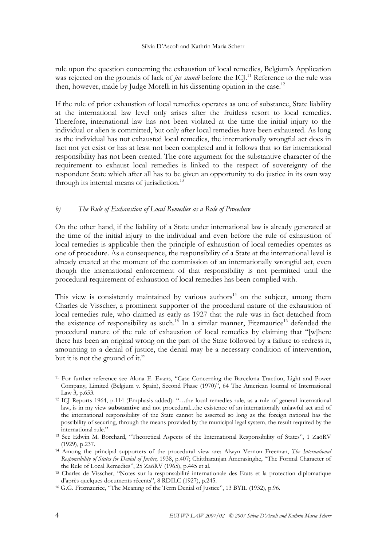#### Silvia D'Ascoli and Kathrin Maria Scherr

rule upon the question concerning the exhaustion of local remedies, Belgium's Application was rejected on the grounds of lack of jus standi before the ICJ.<sup>11</sup> Reference to the rule was then, however, made by Judge Morelli in his dissenting opinion in the case.<sup>12</sup>

If the rule of prior exhaustion of local remedies operates as one of substance, State liability at the international law level only arises after the fruitless resort to local remedies. Therefore, international law has not been violated at the time the initial injury to the individual or alien is committed, but only after local remedies have been exhausted. As long as the individual has not exhausted local remedies, the internationally wrongful act does in fact not yet exist or has at least not been completed and it follows that so far international responsibility has not been created. The core argument for the substantive character of the requirement to exhaust local remedies is linked to the respect of sovereignty of the respondent State which after all has to be given an opportunity to do justice in its own way through its internal means of jurisdiction. $^{13}$ 

## b) The Rule of Exhaustion of Local Remedies as a Rule of Procedure

On the other hand, if the liability of a State under international law is already generated at the time of the initial injury to the individual and even before the rule of exhaustion of local remedies is applicable then the principle of exhaustion of local remedies operates as one of procedure. As a consequence, the responsibility of a State at the international level is already created at the moment of the commission of an internationally wrongful act, even though the international enforcement of that responsibility is not permitted until the procedural requirement of exhaustion of local remedies has been complied with.

This view is consistently maintained by various authors<sup>14</sup> on the subject, among them Charles de Visscher, a prominent supporter of the procedural nature of the exhaustion of local remedies rule, who claimed as early as 1927 that the rule was in fact detached from the existence of responsibility as such.<sup>15</sup> In a similar manner, Fitzmaurice<sup>16</sup> defended the procedural nature of the rule of exhaustion of local remedies by claiming that "[w]here there has been an original wrong on the part of the State followed by a failure to redress it, amounting to a denial of justice, the denial may be a necessary condition of intervention, but it is not the ground of it."

 $\overline{a}$ <sup>11</sup> For further reference see Alona E. Evans, "Case Concerning the Barcelona Traction, Light and Power Company, Limited (Belgium v. Spain), Second Phase (1970)", 64 The American Journal of International Law 3, p.653.

<sup>12</sup> ICJ Reports 1964, p.114 (Emphasis added): "…the local remedies rule, as a rule of general international law, is in my view **substantive** and not procedural...the existence of an internationally unlawful act and of the international responsibility of the State cannot be asserted so long as the foreign national has the possibility of securing, through the means provided by the municipal legal system, the result required by the international rule."

<sup>&</sup>lt;sup>13</sup> See Edwin M. Borchard, "Theoretical Aspects of the International Responsibility of States", 1 ZaöRV (1929), p.237.

<sup>&</sup>lt;sup>14</sup> Among the principal supporters of the procedural view are: Alwyn Vernon Freeman, *The International* Responsibility of States for Denial of Justice, 1938, p.407; Chittharanjan Amerasinghe, "The Formal Character of the Rule of Local Remedies", 25 ZaöRV (1965), p.445 et al.

<sup>15</sup> Charles de Visscher, "Notes sur la responsabilité internationale des Etats et la protection diplomatique d'après quelques documents récents", 8 RDILC (1927), p.245.

<sup>16</sup> G.G. Fitzmaurice, "The Meaning of the Term Denial of Justice", 13 BYIL (1932), p.96.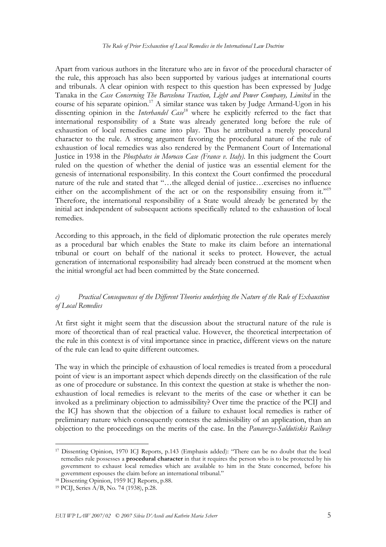Apart from various authors in the literature who are in favor of the procedural character of the rule, this approach has also been supported by various judges at international courts and tribunals. A clear opinion with respect to this question has been expressed by Judge Tanaka in the Case Concerning The Barcelona Traction, Light and Power Company, Limited in the course of his separate opinion.<sup>17</sup> A similar stance was taken by Judge Armand-Ugon in his dissenting opinion in the Interhandel Case<sup>18</sup> where he explicitly referred to the fact that international responsibility of a State was already generated long before the rule of exhaustion of local remedies came into play. Thus he attributed a merely procedural character to the rule. A strong argument favoring the procedural nature of the rule of exhaustion of local remedies was also rendered by the Permanent Court of International Justice in 1938 in the Phosphates in Morocco Case (France v. Italy). In this judgment the Court ruled on the question of whether the denial of justice was an essential element for the genesis of international responsibility. In this context the Court confirmed the procedural nature of the rule and stated that "…the alleged denial of justice…exercises no influence either on the accomplishment of the act or on the responsibility ensuing from it."<sup>19</sup> Therefore, the international responsibility of a State would already be generated by the initial act independent of subsequent actions specifically related to the exhaustion of local remedies.

According to this approach, in the field of diplomatic protection the rule operates merely as a procedural bar which enables the State to make its claim before an international tribunal or court on behalf of the national it seeks to protect. However, the actual generation of international responsibility had already been construed at the moment when the initial wrongful act had been committed by the State concerned.

## c) Practical Consequences of the Different Theories underlying the Nature of the Rule of Exhaustion of Local Remedies

At first sight it might seem that the discussion about the structural nature of the rule is more of theoretical than of real practical value. However, the theoretical interpretation of the rule in this context is of vital importance since in practice, different views on the nature of the rule can lead to quite different outcomes.

The way in which the principle of exhaustion of local remedies is treated from a procedural point of view is an important aspect which depends directly on the classification of the rule as one of procedure or substance. In this context the question at stake is whether the nonexhaustion of local remedies is relevant to the merits of the case or whether it can be invoked as a preliminary objection to admissibility? Over time the practice of the PCIJ and the ICJ has shown that the objection of a failure to exhaust local remedies is rather of preliminary nature which consequently contests the admissibility of an application, than an objection to the proceedings on the merits of the case. In the Panavezys-Saldutiskis Railway

<sup>17</sup> Dissenting Opinion, 1970 ICJ Reports, p.143 (Emphasis added): "There can be no doubt that the local remedies rule possesses a **procedural character** in that it requires the person who is to be protected by his government to exhaust local remedies which are available to him in the State concerned, before his government espouses the claim before an international tribunal."

<sup>&</sup>lt;sup>18</sup> Dissenting Opinion, 1959 ICJ Reports, p.88.

<sup>19</sup> PCIJ, Series A/B, No. 74 (1938), p.28.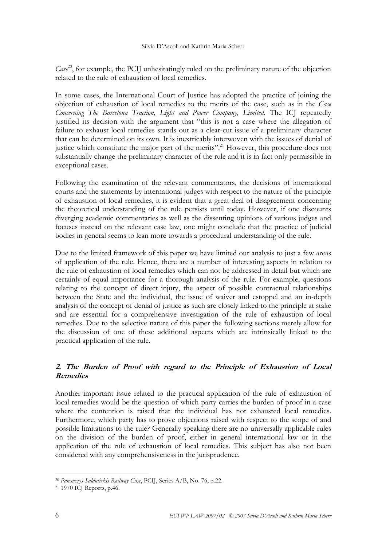$\textit{Case}^{20}$ , for example, the PCIJ unhesitatingly ruled on the preliminary nature of the objection related to the rule of exhaustion of local remedies.

In some cases, the International Court of Justice has adopted the practice of joining the objection of exhaustion of local remedies to the merits of the case, such as in the Case Concerning The Barcelona Traction, Light and Power Company, Limited. The ICJ repeatedly justified its decision with the argument that "this is not a case where the allegation of failure to exhaust local remedies stands out as a clear-cut issue of a preliminary character that can be determined on its own. It is inextricably interwoven with the issues of denial of justice which constitute the major part of the merits".<sup>21</sup> However, this procedure does not substantially change the preliminary character of the rule and it is in fact only permissible in exceptional cases.

Following the examination of the relevant commentators, the decisions of international courts and the statements by international judges with respect to the nature of the principle of exhaustion of local remedies, it is evident that a great deal of disagreement concerning the theoretical understanding of the rule persists until today. However, if one discounts diverging academic commentaries as well as the dissenting opinions of various judges and focuses instead on the relevant case law, one might conclude that the practice of judicial bodies in general seems to lean more towards a procedural understanding of the rule.

Due to the limited framework of this paper we have limited our analysis to just a few areas of application of the rule. Hence, there are a number of interesting aspects in relation to the rule of exhaustion of local remedies which can not be addressed in detail but which are certainly of equal importance for a thorough analysis of the rule. For example, questions relating to the concept of direct injury, the aspect of possible contractual relationships between the State and the individual, the issue of waiver and estoppel and an in-depth analysis of the concept of denial of justice as such are closely linked to the principle at stake and are essential for a comprehensive investigation of the rule of exhaustion of local remedies. Due to the selective nature of this paper the following sections merely allow for the discussion of one of these additional aspects which are intrinsically linked to the practical application of the rule.

# 2. The Burden of Proof with regard to the Principle of Exhaustion of Local Remedies

Another important issue related to the practical application of the rule of exhaustion of local remedies would be the question of which party carries the burden of proof in a case where the contention is raised that the individual has not exhausted local remedies. Furthermore, which party has to prove objections raised with respect to the scope of and possible limitations to the rule? Generally speaking there are no universally applicable rules on the division of the burden of proof, either in general international law or in the application of the rule of exhaustion of local remedies. This subject has also not been considered with any comprehensiveness in the jurisprudence.

<sup>&</sup>lt;sup>20</sup> Panavezys-Saldutiskis Railway Case, PCIJ, Series A/B, No. 76, p.22.

<sup>21</sup> 1970 ICJ Reports, p.46.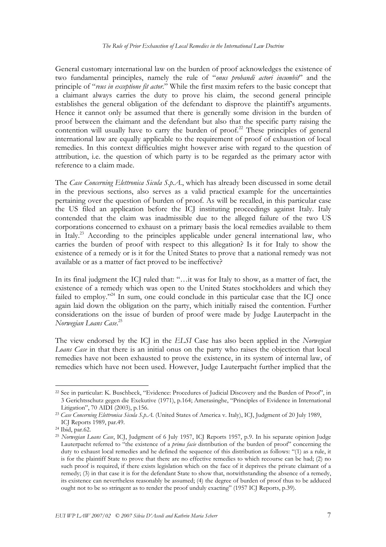General customary international law on the burden of proof acknowledges the existence of two fundamental principles, namely the rule of "*onus probandi actori incumbit*" and the principle of "reus in exceptione fit actor." While the first maxim refers to the basic concept that a claimant always carries the duty to prove his claim, the second general principle establishes the general obligation of the defendant to disprove the plaintiff's arguments. Hence it cannot only be assumed that there is generally some division in the burden of proof between the claimant and the defendant but also that the specific party raising the contention will usually have to carry the burden of proof.<sup>22</sup> These principles of general international law are equally applicable to the requirement of proof of exhaustion of local remedies. In this context difficulties might however arise with regard to the question of attribution, i.e. the question of which party is to be regarded as the primary actor with reference to a claim made.

The Case Concerning Elettronica Sicula S.p.A., which has already been discussed in some detail in the previous sections, also serves as a valid practical example for the uncertainties pertaining over the question of burden of proof. As will be recalled, in this particular case the US filed an application before the ICJ instituting proceedings against Italy. Italy contended that the claim was inadmissible due to the alleged failure of the two US corporations concerned to exhaust on a primary basis the local remedies available to them in Italy.<sup>23</sup> According to the principles applicable under general international law, who carries the burden of proof with respect to this allegation? Is it for Italy to show the existence of a remedy or is it for the United States to prove that a national remedy was not available or as a matter of fact proved to be ineffective?

In its final judgment the ICJ ruled that: "…it was for Italy to show, as a matter of fact, the existence of a remedy which was open to the United States stockholders and which they failed to employ."<sup>24</sup> In sum, one could conclude in this particular case that the ICJ once again laid down the obligation on the party, which initially raised the contention. Further considerations on the issue of burden of proof were made by Judge Lauterpacht in the Norwegian Loans Case.<sup>25</sup>

The view endorsed by the ICJ in the ELSI Case has also been applied in the Norwegian Loans Case in that there is an initial onus on the party who raises the objection that local remedies have not been exhausted to prove the existence, in its system of internal law, of remedies which have not been used. However, Judge Lauterpacht further implied that the

<sup>22</sup> See in particular: K. Buschbeck, "Evidence: Procedures of Judicial Discovery and the Burden of Proof", in 3 Gerichtsschutz gegen die Exekutive (1971), p.164; Amerasinghe, "Principles of Evidence in International Litigation", 70 AIDI (2003), p.156.

<sup>&</sup>lt;sup>23</sup> Case Concerning Elettronica Sicula S.p.A. (United States of America v. Italy), ICJ, Judgment of 20 July 1989, ICJ Reports 1989, par.49.

<sup>24</sup> Ibid, par.62.

<sup>&</sup>lt;sup>25</sup> Norwegian Loans Case, ICJ, Judgment of 6 July 1957, ICJ Reports 1957, p.9. In his separate opinion Judge Lauterpacht referred to "the existence of a prima facie distribution of the burden of proof" concerning the duty to exhaust local remedies and he defined the sequence of this distribution as follows: "(1) as a rule, it is for the plaintiff State to prove that there are no effective remedies to which recourse can be had; (2) no such proof is required, if there exists legislation which on the face of it deprives the private claimant of a remedy; (3) in that case it is for the defendant State to show that, notwithstanding the absence of a remedy, its existence can nevertheless reasonably be assumed; (4) the degree of burden of proof thus to be adduced ought not to be so stringent as to render the proof unduly exacting" (1957 ICJ Reports, p.39).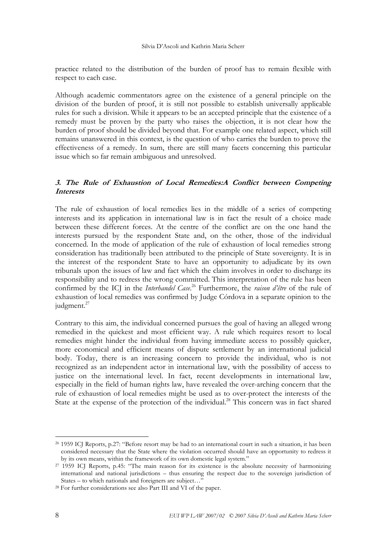practice related to the distribution of the burden of proof has to remain flexible with respect to each case.

Although academic commentators agree on the existence of a general principle on the division of the burden of proof, it is still not possible to establish universally applicable rules for such a division. While it appears to be an accepted principle that the existence of a remedy must be proven by the party who raises the objection, it is not clear how the burden of proof should be divided beyond that. For example one related aspect, which still remains unanswered in this context, is the question of who carries the burden to prove the effectiveness of a remedy. In sum, there are still many facets concerning this particular issue which so far remain ambiguous and unresolved.

## 3. The Rule of Exhaustion of Local Remedies:A Conflict between Competing **Interests**

The rule of exhaustion of local remedies lies in the middle of a series of competing interests and its application in international law is in fact the result of a choice made between these different forces. At the centre of the conflict are on the one hand the interests pursued by the respondent State and, on the other, those of the individual concerned. In the mode of application of the rule of exhaustion of local remedies strong consideration has traditionally been attributed to the principle of State sovereignty. It is in the interest of the respondent State to have an opportunity to adjudicate by its own tribunals upon the issues of law and fact which the claim involves in order to discharge its responsibility and to redress the wrong committed. This interpretation of the rule has been confirmed by the ICJ in the *Interhandel Case*.<sup>26</sup> Furthermore, the *raison d'être* of the rule of exhaustion of local remedies was confirmed by Judge Córdova in a separate opinion to the judgment.<sup>27</sup>

Contrary to this aim, the individual concerned pursues the goal of having an alleged wrong remedied in the quickest and most efficient way. A rule which requires resort to local remedies might hinder the individual from having immediate access to possibly quicker, more economical and efficient means of dispute settlement by an international judicial body. Today, there is an increasing concern to provide the individual, who is not recognized as an independent actor in international law, with the possibility of access to justice on the international level. In fact, recent developments in international law, especially in the field of human rights law, have revealed the over-arching concern that the rule of exhaustion of local remedies might be used as to over-protect the interests of the State at the expense of the protection of the individual.<sup>28</sup> This concern was in fact shared

<sup>26</sup> 1959 ICJ Reports, p.27: "Before resort may be had to an international court in such a situation, it has been considered necessary that the State where the violation occurred should have an opportunity to redress it by its own means, within the framework of its own domestic legal system."

<sup>&</sup>lt;sup>27</sup> 1959 ICJ Reports, p.45: "The main reason for its existence is the absolute necessity of harmonizing international and national jurisdictions – thus ensuring the respect due to the sovereign jurisdiction of States – to which nationals and foreigners are subject…"

<sup>&</sup>lt;sup>28</sup> For further considerations see also Part III and VI of the paper.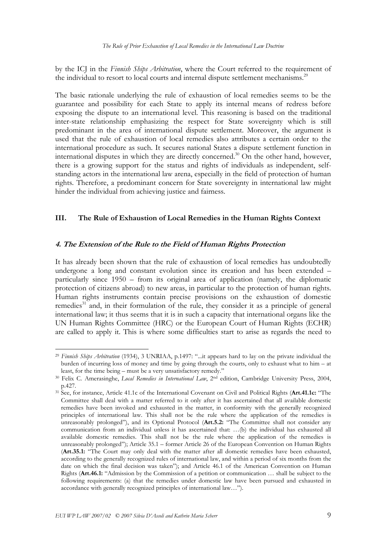by the ICJ in the Finnish Ships Arbitration, where the Court referred to the requirement of the individual to resort to local courts and internal dispute settlement mechanisms.<sup>29</sup>

The basic rationale underlying the rule of exhaustion of local remedies seems to be the guarantee and possibility for each State to apply its internal means of redress before exposing the dispute to an international level. This reasoning is based on the traditional inter-state relationship emphasizing the respect for State sovereignty which is still predominant in the area of international dispute settlement. Moreover, the argument is used that the rule of exhaustion of local remedies also attributes a certain order to the international procedure as such. It secures national States a dispute settlement function in international disputes in which they are directly concerned.<sup>30</sup> On the other hand, however, there is a growing support for the status and rights of individuals as independent, selfstanding actors in the international law arena, especially in the field of protection of human rights. Therefore, a predominant concern for State sovereignty in international law might hinder the individual from achieving justice and fairness.

#### III. The Rule of Exhaustion of Local Remedies in the Human Rights Context

#### 4. The Extension of the Rule to the Field of Human Rights Protection

It has already been shown that the rule of exhaustion of local remedies has undoubtedly undergone a long and constant evolution since its creation and has been extended – particularly since 1950 – from its original area of application (namely, the diplomatic protection of citizens abroad) to new areas, in particular to the protection of human rights. Human rights instruments contain precise provisions on the exhaustion of domestic remedies<sup>31</sup> and, in their formulation of the rule, they consider it as a principle of general international law; it thus seems that it is in such a capacity that international organs like the UN Human Rights Committee (HRC) or the European Court of Human Rights (ECHR) are called to apply it. This is where some difficulties start to arise as regards the need to

<sup>&</sup>lt;sup>29</sup> Finnish Ships Arbitration (1934), 3 UNRIAA, p.1497: "...it appears hard to lay on the private individual the burden of incurring loss of money and time by going through the courts, only to exhaust what to him – at least, for the time being – must be a very unsatisfactory remedy."

<sup>&</sup>lt;sup>30</sup> Felix C. Amerasinghe, Local Remedies in International Law, 2<sup>nd</sup> edition, Cambridge University Press, 2004, p.427.

<sup>&</sup>lt;sup>31</sup> See, for instance, Article 41.1c of the International Covenant on Civil and Political Rights (Art.41.1c: "The Committee shall deal with a matter referred to it only after it has ascertained that all available domestic remedies have been invoked and exhausted in the matter, in conformity with the generally recognized principles of international law. This shall not be the rule where the application of the remedies is unreasonably prolonged"), and its Optional Protocol (Art.5.2: "The Committee shall not consider any communication from an individual unless it has ascertained that: …(b) the individual has exhausted all available domestic remedies. This shall not be the rule where the application of the remedies is unreasonably prolonged"); Article 35.1 – former Article 26 of the European Convention on Human Rights (Art.35.1: "The Court may only deal with the matter after all domestic remedies have been exhausted, according to the generally recognized rules of international law, and within a period of six months from the date on which the final decision was taken"); and Article 46.1 of the American Convention on Human Rights (Art.46.1: "Admission by the Commission of a petition or communication … shall be subject to the following requirements: (a) that the remedies under domestic law have been pursued and exhausted in accordance with generally recognized principles of international law…").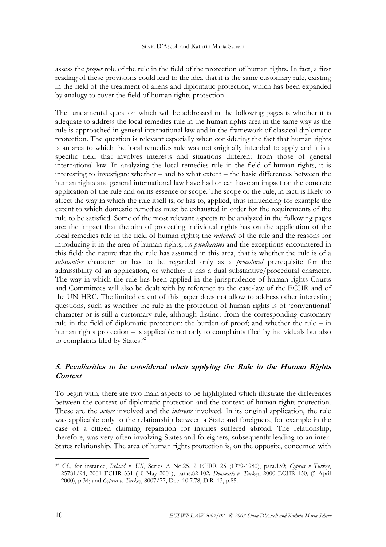assess the proper role of the rule in the field of the protection of human rights. In fact, a first reading of these provisions could lead to the idea that it is the same customary rule, existing in the field of the treatment of aliens and diplomatic protection, which has been expanded by analogy to cover the field of human rights protection.

The fundamental question which will be addressed in the following pages is whether it is adequate to address the local remedies rule in the human rights area in the same way as the rule is approached in general international law and in the framework of classical diplomatic protection. The question is relevant especially when considering the fact that human rights is an area to which the local remedies rule was not originally intended to apply and it is a specific field that involves interests and situations different from those of general international law. In analyzing the local remedies rule in the field of human rights, it is interesting to investigate whether – and to what extent – the basic differences between the human rights and general international law have had or can have an impact on the concrete application of the rule and on its essence or scope. The scope of the rule, in fact, is likely to affect the way in which the rule itself is, or has to, applied, thus influencing for example the extent to which domestic remedies must be exhausted in order for the requirements of the rule to be satisfied. Some of the most relevant aspects to be analyzed in the following pages are: the impact that the aim of protecting individual rights has on the application of the local remedies rule in the field of human rights; the *rationale* of the rule and the reasons for introducing it in the area of human rights; its *peculiarities* and the exceptions encountered in this field; the nature that the rule has assumed in this area, that is whether the rule is of a substantive character or has to be regarded only as a *procedural* prerequisite for the admissibility of an application, or whether it has a dual substantive/procedural character. The way in which the rule has been applied in the jurisprudence of human rights Courts and Committees will also be dealt with by reference to the case-law of the ECHR and of the UN HRC. The limited extent of this paper does not allow to address other interesting questions, such as whether the rule in the protection of human rights is of 'conventional' character or is still a customary rule, although distinct from the corresponding customary rule in the field of diplomatic protection; the burden of proof; and whether the rule – in human rights protection – is applicable not only to complaints filed by individuals but also to complaints filed by States.<sup>32</sup>

# 5. Peculiarities to be considered when applying the Rule in the Human Rights **Context**

To begin with, there are two main aspects to be highlighted which illustrate the differences between the context of diplomatic protection and the context of human rights protection. These are the *actors* involved and the *interests* involved. In its original application, the rule was applicable only to the relationship between a State and foreigners, for example in the case of a citizen claiming reparation for injuries suffered abroad. The relationship, therefore, was very often involving States and foreigners, subsequently leading to an inter-States relationship. The area of human rights protection is, on the opposite, concerned with

 $\overline{a}$ <sup>32</sup> Cf., for instance, Ireland v. UK, Series A No.25, 2 EHRR 25 (1979-1980), para.159; Cyprus v Turkey, 25781/94, 2001 ECHR 331 (10 May 2001), paras.82-102; Denmark v. Turkey, 2000 ECHR 150, (5 April 2000), p.34; and Cyprus v. Turkey, 8007/77, Dec. 10.7.78, D.R. 13, p.85.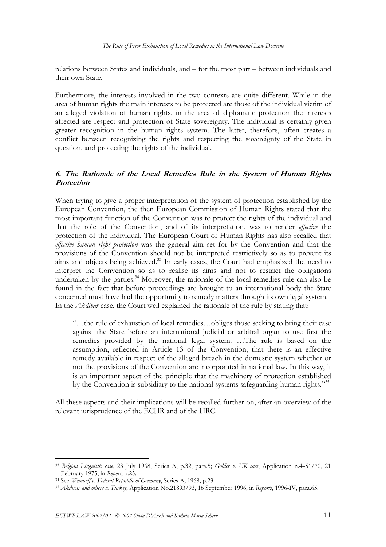relations between States and individuals, and – for the most part – between individuals and their own State.

Furthermore, the interests involved in the two contexts are quite different. While in the area of human rights the main interests to be protected are those of the individual victim of an alleged violation of human rights, in the area of diplomatic protection the interests affected are respect and protection of State sovereignty. The individual is certainly given greater recognition in the human rights system. The latter, therefore, often creates a conflict between recognizing the rights and respecting the sovereignty of the State in question, and protecting the rights of the individual.

## 6. The Rationale of the Local Remedies Rule in the System of Human Rights Protection

When trying to give a proper interpretation of the system of protection established by the European Convention, the then European Commission of Human Rights stated that the most important function of the Convention was to protect the rights of the individual and that the role of the Convention, and of its interpretation, was to render effective the protection of the individual. The European Court of Human Rights has also recalled that effective human right protection was the general aim set for by the Convention and that the provisions of the Convention should not be interpreted restrictively so as to prevent its aims and objects being achieved.<sup>33</sup> In early cases, the Court had emphasized the need to interpret the Convention so as to realise its aims and not to restrict the obligations undertaken by the parties.<sup>34</sup> Moreover, the rationale of the local remedies rule can also be found in the fact that before proceedings are brought to an international body the State concerned must have had the opportunity to remedy matters through its own legal system. In the *Akdivar* case, the Court well explained the rationale of the rule by stating that:

"…the rule of exhaustion of local remedies…obliges those seeking to bring their case against the State before an international judicial or arbitral organ to use first the remedies provided by the national legal system. …The rule is based on the assumption, reflected in Article 13 of the Convention, that there is an effective remedy available in respect of the alleged breach in the domestic system whether or not the provisions of the Convention are incorporated in national law. In this way, it is an important aspect of the principle that the machinery of protection established by the Convention is subsidiary to the national systems safeguarding human rights.<sup>355</sup>

All these aspects and their implications will be recalled further on, after an overview of the relevant jurisprudence of the ECHR and of the HRC.

<sup>&</sup>lt;sup>33</sup> Belgian Linguistic case, 23 July 1968, Series A, p.32, para.5; Golder v. UK case, Application n.4451/70, 21 February 1975, in Report, p.25.

<sup>&</sup>lt;sup>34</sup> See *Wemhoff v. Federal Republic of Germany*, Series A, 1968, p.23.

 $35$  Akdivar and others v. Turkey, Application No.21893/93, 16 September 1996, in Reports, 1996-IV, para.65.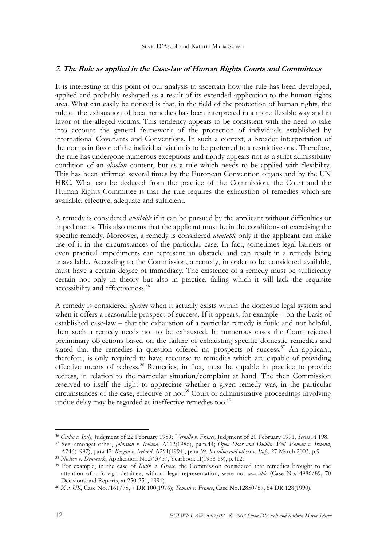## 7. The Rule as applied in the Case-law of Human Rights Courts and Committees

It is interesting at this point of our analysis to ascertain how the rule has been developed, applied and probably reshaped as a result of its extended application to the human rights area. What can easily be noticed is that, in the field of the protection of human rights, the rule of the exhaustion of local remedies has been interpreted in a more flexible way and in favor of the alleged victims. This tendency appears to be consistent with the need to take into account the general framework of the protection of individuals established by international Covenants and Conventions. In such a context, a broader interpretation of the norms in favor of the individual victim is to be preferred to a restrictive one. Therefore, the rule has undergone numerous exceptions and rightly appears not as a strict admissibility condition of an *absolute* content, but as a rule which needs to be applied with flexibility. This has been affirmed several times by the European Convention organs and by the UN HRC. What can be deduced from the practice of the Commission, the Court and the Human Rights Committee is that the rule requires the exhaustion of remedies which are available, effective, adequate and sufficient.

A remedy is considered *available* if it can be pursued by the applicant without difficulties or impediments. This also means that the applicant must be in the conditions of exercising the specific remedy. Moreover, a remedy is considered *available* only if the applicant can make use of it in the circumstances of the particular case. In fact, sometimes legal barriers or even practical impediments can represent an obstacle and can result in a remedy being unavailable. According to the Commission, a remedy, in order to be considered available, must have a certain degree of immediacy. The existence of a remedy must be sufficiently certain not only in theory but also in practice, failing which it will lack the requisite accessibility and effectiveness.<sup>36</sup>

A remedy is considered *effective* when it actually exists within the domestic legal system and when it offers a reasonable prospect of success. If it appears, for example – on the basis of established case-law – that the exhaustion of a particular remedy is futile and not helpful, then such a remedy needs not to be exhausted. In numerous cases the Court rejected preliminary objections based on the failure of exhausting specific domestic remedies and stated that the remedies in question offered no prospects of success.<sup>37</sup> An applicant, therefore, is only required to have recourse to remedies which are capable of providing effective means of redress.<sup>38</sup> Remedies, in fact, must be capable in practice to provide redress, in relation to the particular situation/complaint at hand. The then Commission reserved to itself the right to appreciate whether a given remedy was, in the particular circumstances of the case, effective or not.<sup>39</sup> Court or administrative proceedings involving undue delay may be regarded as ineffective remedies too.<sup>40</sup>

<sup>&</sup>lt;sup>36</sup> Ciulla v. Italy, Judgment of 22 February 1989; Vernillo v. France, Judgment of 20 February 1991, Series A 198.

<sup>37</sup> See, amongst other, Johnston v. Ireland, A112(1986), para.44; Open Door and Dublin Well Woman v. Ireland, A246(1992), para.47; Keegan v. Ireland, A291(1994), para.39; Scordino and others v. Italy, 27 March 2003, p.9.

<sup>&</sup>lt;sup>38</sup> Nielsen v. Denmark, Application No.343/57, Yearbook II(1958-59), p.412.

<sup>&</sup>lt;sup>39</sup> For example, in the case of *Kuijk v. Greece*, the Commission considered that remedies brought to the attention of a foreign detainee, without legal representation, were not *accessible* (Case No.14986/89, 70 Decisions and Reports, at 250-251, 1991).

<sup>40</sup> X v. UK, Case No.7161/75, 7 DR 100(1976); Tomasi v. France, Case No.12850/87, 64 DR 128(1990).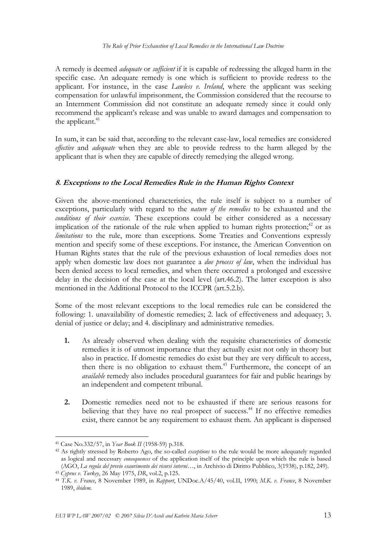A remedy is deemed *adequate* or *sufficient* if it is capable of redressing the alleged harm in the specific case. An adequate remedy is one which is sufficient to provide redress to the applicant. For instance, in the case  $Lawless$  v. Ireland, where the applicant was seeking compensation for unlawful imprisonment, the Commission considered that the recourse to an Internment Commission did not constitute an adequate remedy since it could only recommend the applicant's release and was unable to award damages and compensation to the applicant.<sup>41</sup>

In sum, it can be said that, according to the relevant case-law, local remedies are considered effective and *adequate* when they are able to provide redress to the harm alleged by the applicant that is when they are capable of directly remedying the alleged wrong.

## 8. Exceptions to the Local Remedies Rule in the Human Rights Context

Given the above-mentioned characteristics, the rule itself is subject to a number of exceptions, particularly with regard to the *nature of the remedies* to be exhausted and the conditions of their exercise. These exceptions could be either considered as a necessary implication of the rationale of the rule when applied to human rights protection;<sup>42</sup> or as limitations to the rule, more than exceptions. Some Treaties and Conventions expressly mention and specify some of these exceptions. For instance, the American Convention on Human Rights states that the rule of the previous exhaustion of local remedies does not apply when domestic law does not guarantee a *due process of law*, when the individual has been denied access to local remedies, and when there occurred a prolonged and excessive delay in the decision of the case at the local level (art.46.2). The latter exception is also mentioned in the Additional Protocol to the ICCPR (art.5.2.b).

Some of the most relevant exceptions to the local remedies rule can be considered the following: 1. unavailability of domestic remedies; 2. lack of effectiveness and adequacy; 3. denial of justice or delay; and 4. disciplinary and administrative remedies.

- 1. As already observed when dealing with the requisite characteristics of domestic remedies it is of utmost importance that they actually exist not only in theory but also in practice. If domestic remedies do exist but they are very difficult to access, then there is no obligation to exhaust them.<sup>43</sup> Furthermore, the concept of an available remedy also includes procedural guarantees for fair and public hearings by an independent and competent tribunal.
- 2. Domestic remedies need not to be exhausted if there are serious reasons for believing that they have no real prospect of success.<sup>44</sup> If no effective remedies exist, there cannot be any requirement to exhaust them. An applicant is dispensed

 $\overline{a}$ <sup>41</sup> Case No.332/57, in Year Book II (1958-59) p.318.

<sup>&</sup>lt;sup>42</sup> As rightly stressed by Roberto Ago, the so-called *exceptions* to the rule would be more adequately regarded as logical and necessary *consequences* of the application itself of the principle upon which the rule is based (AGO, La regola del previo esaurimento dei ricorsi interni…, in Archivio di Diritto Pubblico, 3(1938), p.182, 249).

<sup>43</sup> Cyprus v. Turkey, 26 May 1975, DR, vol.2, p.125.

<sup>44</sup> T.K. v. France, 8 November 1989, in Rapport, UNDoc.A/45/40, vol.II, 1990; M.K. v. France, 8 November 1989, ibidem.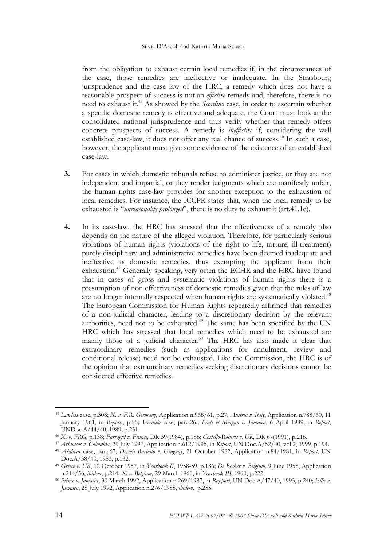from the obligation to exhaust certain local remedies if, in the circumstances of the case, those remedies are ineffective or inadequate. In the Strasbourg jurisprudence and the case law of the HRC, a remedy which does not have a reasonable prospect of success is not an *effective* remedy and, therefore, there is no need to exhaust it.<sup>45</sup> As showed by the *Scordino* case, in order to ascertain whether a specific domestic remedy is effective and adequate, the Court must look at the consolidated national jurisprudence and thus verify whether that remedy offers concrete prospects of success. A remedy is ineffective if, considering the well established case-law, it does not offer any real chance of success.<sup>46</sup> In such a case, however, the applicant must give some evidence of the existence of an established case-law.

- 3. For cases in which domestic tribunals refuse to administer justice, or they are not independent and impartial, or they render judgments which are manifestly unfair, the human rights case-law provides for another exception to the exhaustion of local remedies. For instance, the ICCPR states that, when the local remedy to be exhausted is "unreasonably prolonged", there is no duty to exhaust it (art.41.1c).
- 4. In its case-law, the HRC has stressed that the effectiveness of a remedy also depends on the nature of the alleged violation. Therefore, for particularly serious violations of human rights (violations of the right to life, torture, ill-treatment) purely disciplinary and administrative remedies have been deemed inadequate and ineffective as domestic remedies, thus exempting the applicant from their exhaustion.<sup>47</sup> Generally speaking, very often the ECHR and the HRC have found that in cases of gross and systematic violations of human rights there is a presumption of non effectiveness of domestic remedies given that the rules of law are no longer internally respected when human rights are systematically violated.<sup>48</sup> The European Commission for Human Rights repeatedly affirmed that remedies of a non-judicial character, leading to a discretionary decision by the relevant authorities, need not to be exhausted.<sup>49</sup> The same has been specified by the UN HRC which has stressed that local remedies which need to be exhausted are mainly those of a judicial character.<sup>50</sup> The HRC has also made it clear that extraordinary remedies (such as applications for annulment, review and conditional release) need not be exhausted. Like the Commission, the HRC is of the opinion that extraordinary remedies seeking discretionary decisions cannot be considered effective remedies.

<sup>&</sup>lt;sup>45</sup> Lawless case, p.308; X. v. F.R. Germany, Application n.968/61, p.27; Austria v. Italy, Application n.788/60, 11 January 1961, in Reports, p.55; Vernillo case, para.26.; Pratt et Morgan v. Jamaica, 6 April 1989, in Report, UNDoc.A/44/40, 1989, p.231.

<sup>46</sup> X. v. FRG, p.138; Farragut v. France, DR 39(1984), p.186; Costello-Roberts v. UK, DR 67(1991), p.216.

<sup>47</sup> Arhuacos v. Colombia, 29 July 1997, Application n.612/1995, in Report, UN Doc.A/52/40, vol.2, 1999, p.194.

<sup>48</sup> Akdivar case, para.67; Dermit Barbato v. Uruguay, 21 October 1982, Application n.84/1981, in Report, UN Doc.A/38/40, 1983, p.132.

<sup>&</sup>lt;sup>49</sup> Greece v. UK, 12 October 1957, in Yearbook II, 1958-59, p.186; De Becker v. Belgium, 9 June 1958, Application n.214/56, ibidem, p.214; X. v. Belgium, 29 March 1960, in Yearbook III, 1960, p.222.

<sup>50</sup> Prince v. Jamaica, 30 March 1992, Application n.269/1987, in Rapport, UN Doc.A/47/40, 1993, p.240; Ellis v. Jamaica, 28 July 1992, Application n.276/1988, ibidem, p.255.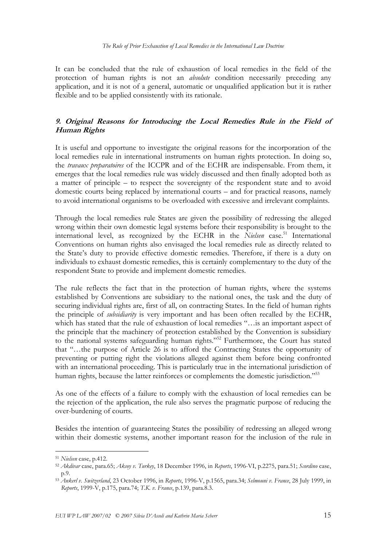It can be concluded that the rule of exhaustion of local remedies in the field of the protection of human rights is not an *absolute* condition necessarily preceding any application, and it is not of a general, automatic or unqualified application but it is rather flexible and to be applied consistently with its rationale.

## 9. Original Reasons for Introducing the Local Remedies Rule in the Field of Human Rights

It is useful and opportune to investigate the original reasons for the incorporation of the local remedies rule in international instruments on human rights protection. In doing so, the travaux preparatoires of the ICCPR and of the ECHR are indispensable. From them, it emerges that the local remedies rule was widely discussed and then finally adopted both as a matter of principle – to respect the sovereignty of the respondent state and to avoid domestic courts being replaced by international courts – and for practical reasons, namely to avoid international organisms to be overloaded with excessive and irrelevant complaints.

Through the local remedies rule States are given the possibility of redressing the alleged wrong within their own domestic legal systems before their responsibility is brought to the international level, as recognized by the ECHR in the Nielsen case.<sup>51</sup> International Conventions on human rights also envisaged the local remedies rule as directly related to the State's duty to provide effective domestic remedies. Therefore, if there is a duty on individuals to exhaust domestic remedies, this is certainly complementary to the duty of the respondent State to provide and implement domestic remedies.

The rule reflects the fact that in the protection of human rights, where the systems established by Conventions are subsidiary to the national ones, the task and the duty of securing individual rights are, first of all, on contracting States. In the field of human rights the principle of *subsidiarity* is very important and has been often recalled by the ECHR, which has stated that the rule of exhaustion of local remedies "…is an important aspect of the principle that the machinery of protection established by the Convention is subsidiary to the national systems safeguarding human rights."<sup>52</sup> Furthermore, the Court has stated that "…the purpose of Article 26 is to afford the Contracting States the opportunity of preventing or putting right the violations alleged against them before being confronted with an international proceeding. This is particularly true in the international jurisdiction of human rights, because the latter reinforces or complements the domestic jurisdiction."<sup>53</sup>

As one of the effects of a failure to comply with the exhaustion of local remedies can be the rejection of the application, the rule also serves the pragmatic purpose of reducing the over-burdening of courts.

Besides the intention of guaranteeing States the possibility of redressing an alleged wrong within their domestic systems, another important reason for the inclusion of the rule in

<sup>51</sup> Nielsen case, p.412.

<sup>52</sup> Akdivar case, para.65; Aksoy v. Turkey, 18 December 1996, in Reports, 1996-VI, p.2275, para.51; Scordino case, p.9.

 $^{53}$  Ankerl v. Switzerland, 23 October 1996, in Reports, 1996-V, p.1565, para.34; Selmouni v. France, 28 July 1999, in Reports, 1999-V, p.175, para.74; T.K. v. France, p.139, para.8.3.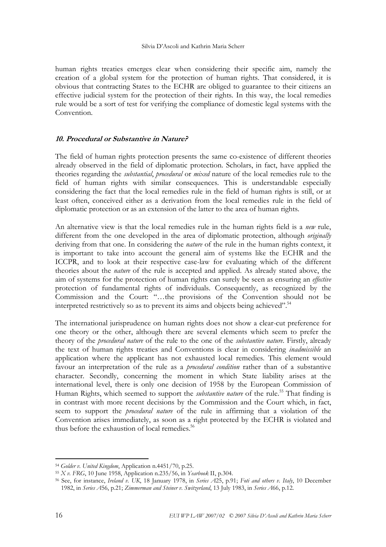#### Silvia D'Ascoli and Kathrin Maria Scherr

human rights treaties emerges clear when considering their specific aim, namely the creation of a global system for the protection of human rights. That considered, it is obvious that contracting States to the ECHR are obliged to guarantee to their citizens an effective judicial system for the protection of their rights. In this way, the local remedies rule would be a sort of test for verifying the compliance of domestic legal systems with the Convention.

#### 10. Procedural or Substantive in Nature?

The field of human rights protection presents the same co-existence of different theories already observed in the field of diplomatic protection. Scholars, in fact, have applied the theories regarding the *substantial*, *procedural* or *mixed* nature of the local remedies rule to the field of human rights with similar consequences. This is understandable especially considering the fact that the local remedies rule in the field of human rights is still, or at least often, conceived either as a derivation from the local remedies rule in the field of diplomatic protection or as an extension of the latter to the area of human rights.

An alternative view is that the local remedies rule in the human rights field is a *new* rule, different from the one developed in the area of diplomatic protection, although *originally* deriving from that one. In considering the *nature* of the rule in the human rights context, it is important to take into account the general aim of systems like the ECHR and the ICCPR, and to look at their respective case-law for evaluating which of the different theories about the nature of the rule is accepted and applied. As already stated above, the aim of systems for the protection of human rights can surely be seen as ensuring an effective protection of fundamental rights of individuals. Consequently, as recognized by the Commission and the Court: "…the provisions of the Convention should not be interpreted restrictively so as to prevent its aims and objects being achieved".<sup>54</sup>

The international jurisprudence on human rights does not show a clear-cut preference for one theory or the other, although there are several elements which seem to prefer the theory of the *procedural nature* of the rule to the one of the *substantive nature*. Firstly, already the text of human rights treaties and Conventions is clear in considering inadmissible an application where the applicant has not exhausted local remedies. This element would favour an interpretation of the rule as a *procedural condition* rather than of a substantive character. Secondly, concerning the moment in which State liability arises at the international level, there is only one decision of 1958 by the European Commission of Human Rights, which seemed to support the *substantive nature* of the rule.<sup>55</sup> That finding is in contrast with more recent decisions by the Commission and the Court which, in fact, seem to support the *procedural nature* of the rule in affirming that a violation of the Convention arises immediately, as soon as a right protected by the ECHR is violated and thus before the exhaustion of local remedies. $56$ 

<sup>54</sup> Golder v. United Kingdom, Application n.4451/70, p.25.

 $55 X v. FRG, 10 June 1958, Application n.235/56, in *Yearbook* II, p.304.$ 

<sup>&</sup>lt;sup>56</sup> See, for instance, *Ireland v.* UK, 18 January 1978, in Series A25, p.91; Foti and others v. Italy, 10 December 1982, in Series A56, p.21; Zimmerman and Steiner v. Switzerland, 13 July 1983, in Series A66, p.12.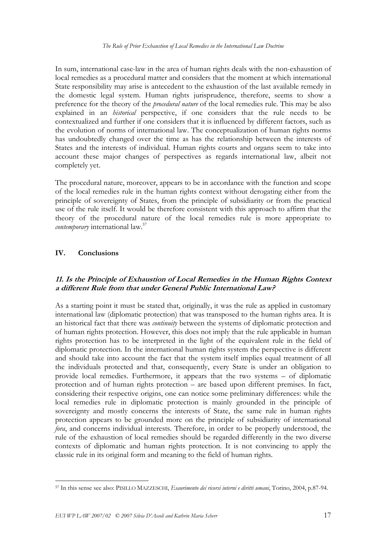In sum, international case-law in the area of human rights deals with the non-exhaustion of local remedies as a procedural matter and considers that the moment at which international State responsibility may arise is antecedent to the exhaustion of the last available remedy in the domestic legal system. Human rights jurisprudence, therefore, seems to show a preference for the theory of the *procedural nature* of the local remedies rule. This may be also explained in an historical perspective, if one considers that the rule needs to be contextualized and further if one considers that it is influenced by different factors, such as the evolution of norms of international law. The conceptualization of human rights norms has undoubtedly changed over the time as has the relationship between the interests of States and the interests of individual. Human rights courts and organs seem to take into account these major changes of perspectives as regards international law, albeit not completely yet.

The procedural nature, moreover, appears to be in accordance with the function and scope of the local remedies rule in the human rights context without derogating either from the principle of sovereignty of States, from the principle of subsidiarity or from the practical use of the rule itself. It would be therefore consistent with this approach to affirm that the theory of the procedural nature of the local remedies rule is more appropriate to contemporary international law.<sup>57</sup>

## IV. Conclusions

## 11. Is the Principle of Exhaustion of Local Remedies in the Human Rights Context a different Rule from that under General Public International Law?

As a starting point it must be stated that, originally, it was the rule as applied in customary international law (diplomatic protection) that was transposed to the human rights area. It is an historical fact that there was *continuity* between the systems of diplomatic protection and of human rights protection. However, this does not imply that the rule applicable in human rights protection has to be interpreted in the light of the equivalent rule in the field of diplomatic protection. In the international human rights system the perspective is different and should take into account the fact that the system itself implies equal treatment of all the individuals protected and that, consequently, every State is under an obligation to provide local remedies. Furthermore, it appears that the two systems – of diplomatic protection and of human rights protection – are based upon different premises. In fact, considering their respective origins, one can notice some preliminary differences: while the local remedies rule in diplomatic protection is mainly grounded in the principle of sovereignty and mostly concerns the interests of State, the same rule in human rights protection appears to be grounded more on the principle of subsidiarity of international fora, and concerns individual interests. Therefore, in order to be properly understood, the rule of the exhaustion of local remedies should be regarded differently in the two diverse contexts of diplomatic and human rights protection. It is not convincing to apply the classic rule in its original form and meaning to the field of human rights.

 $\overline{a}$ <sup>57</sup> In this sense see also: PISILLO MAZZESCHI, Esaurimento dei ricorsi interni e diritti umani, Torino, 2004, p.87-94.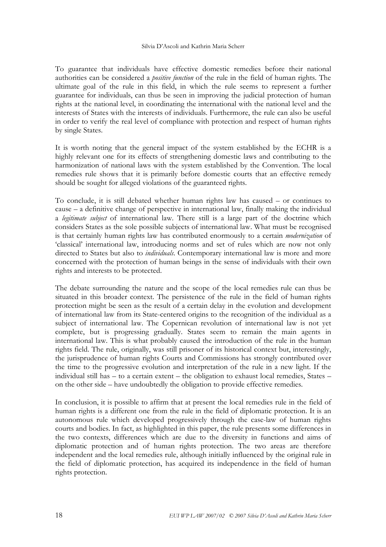#### Silvia D'Ascoli and Kathrin Maria Scherr

To guarantee that individuals have effective domestic remedies before their national authorities can be considered a *positive function* of the rule in the field of human rights. The ultimate goal of the rule in this field, in which the rule seems to represent a further guarantee for individuals, can thus be seen in improving the judicial protection of human rights at the national level, in coordinating the international with the national level and the interests of States with the interests of individuals. Furthermore, the rule can also be useful in order to verify the real level of compliance with protection and respect of human rights by single States.

It is worth noting that the general impact of the system established by the ECHR is a highly relevant one for its effects of strengthening domestic laws and contributing to the harmonization of national laws with the system established by the Convention. The local remedies rule shows that it is primarily before domestic courts that an effective remedy should be sought for alleged violations of the guaranteed rights.

To conclude, it is still debated whether human rights law has caused – or continues to cause – a definitive change of perspective in international law, finally making the individual a *legitimate subject* of international law. There still is a large part of the doctrine which considers States as the sole possible subjects of international law. What must be recognised is that certainly human rights law has contributed enormously to a certain *modernization* of 'classical' international law, introducing norms and set of rules which are now not only directed to States but also to *individuals*. Contemporary international law is more and more concerned with the protection of human beings in the sense of individuals with their own rights and interests to be protected.

The debate surrounding the nature and the scope of the local remedies rule can thus be situated in this broader context. The persistence of the rule in the field of human rights protection might be seen as the result of a certain delay in the evolution and development of international law from its State-centered origins to the recognition of the individual as a subject of international law. The Copernican revolution of international law is not yet complete, but is progressing gradually. States seem to remain the main agents in international law. This is what probably caused the introduction of the rule in the human rights field. The rule, originally, was still prisoner of its historical context but, interestingly, the jurisprudence of human rights Courts and Commissions has strongly contributed over the time to the progressive evolution and interpretation of the rule in a new light. If the individual still has – to a certain extent – the obligation to exhaust local remedies, States – on the other side – have undoubtedly the obligation to provide effective remedies.

In conclusion, it is possible to affirm that at present the local remedies rule in the field of human rights is a different one from the rule in the field of diplomatic protection. It is an autonomous rule which developed progressively through the case-law of human rights courts and bodies. In fact, as highlighted in this paper, the rule presents some differences in the two contexts, differences which are due to the diversity in functions and aims of diplomatic protection and of human rights protection. The two areas are therefore independent and the local remedies rule, although initially influenced by the original rule in the field of diplomatic protection, has acquired its independence in the field of human rights protection.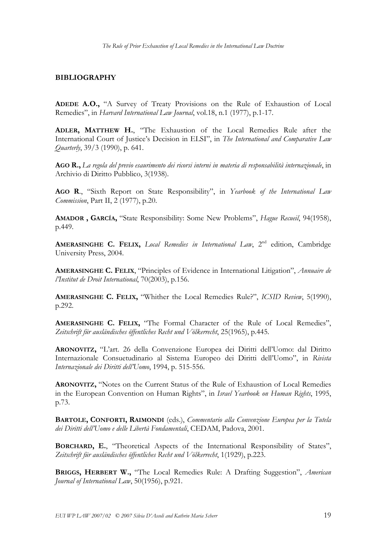#### BIBLIOGRAPHY

ADEDE A.O., "A Survey of Treaty Provisions on the Rule of Exhaustion of Local Remedies", in Harvard International Law Journal, vol.18, n.1 (1977), p.1-17.

ADLER, MATTHEW H., "The Exhaustion of the Local Remedies Rule after the International Court of Justice's Decision in ELSI", in The International and Comparative Law Quarterly, 39/3 (1990), p. 641.

AGO R., La regola del previo esaurimento dei ricorsi interni in materia di responsabilità internazionale, in Archivio di Diritto Pubblico, 3(1938).

AGO R., "Sixth Report on State Responsibility", in Yearbook of the International Law Commission, Part II, 2 (1977), p.20.

AMADOR , GARCÍA, "State Responsibility: Some New Problems", Hague Recueil, 94(1958), p.449.

AMERASINGHE C. FELIX, Local Remedies in International Law, 2<sup>nd</sup> edition, Cambridge University Press, 2004.

AMERASINGHE C. FELIX, "Principles of Evidence in International Litigation", Annuaire de l'Institut de Droit International, 70(2003), p.156.

AMERASINGHE C. FELIX, "Whither the Local Remedies Rule?", ICSID Review, 5(1990), p.292.

AMERASINGHE C. FELIX, "The Formal Character of the Rule of Local Remedies", Zeitschrift für ausländisches öffentliches Recht und Völkerrecht, 25(1965), p.445.

ARONOVITZ, "L'art. 26 della Convenzione Europea dei Diritti dell'Uomo: dal Diritto Internazionale Consuetudinario al Sistema Europeo dei Diritti dell'Uomo", in Rivista Internazionale dei Diritti dell'Uomo, 1994, p. 515-556.

ARONOVITZ, "Notes on the Current Status of the Rule of Exhaustion of Local Remedies in the European Convention on Human Rights", in Israel Yearbook on Human Rights, 1995, p.73.

BARTOLE, CONFORTI, RAIMONDI (eds.), Commentario alla Convenzione Europea per la Tutela dei Diritti dell'Uomo e delle Libertà Fondamentali, CEDAM, Padova, 2001.

BORCHARD, E., "Theoretical Aspects of the International Responsibility of States", Zeitschrift für ausländisches öffentliches Recht und Völkerrecht, 1(1929), p.223.

BRIGGS, HERBERT W., "The Local Remedies Rule: A Drafting Suggestion", American Journal of International Law, 50(1956), p.921.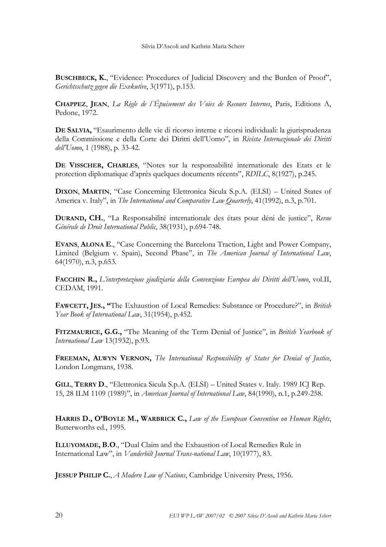BUSCHBECK, K., "Evidence: Procedures of Judicial Discovery and the Burden of Proof", Gerichtsschutz gegen die Exekutive, 3(1971), p.153.

CHAPPEZ, JEAN, La Règle de l´Épuisement des Voies de Recours Internes, Paris, Editions A, Pedone, 1972.

DE SALVIA, "Esaurimento delle vie di ricorso interne e ricorsi individuali: la giurisprudenza della Commissione e della Corte dei Diritti dell'Uomo", in Rivista Internazionale dei Diritti dell'Uomo, 1 (1988), p. 33-42.

DE VISSCHER, CHARLES, "Notes sur la responsabilité internationale des Etats et le protection diplomatique d'après quelques documents récents", RDILC, 8(1927), p.245.

DIXON, MARTIN, "Case Concerning Elettronica Sicula S.p.A. (ELSI) – United States of America v. Italy", in The International and Comparative Law Ouarterly, 41(1992), n.3, p.701.

DURAND, CH., "La Responsabilité internationale des états pour déni de justice", Revue Générale de Droit International Public, 38(1931), p.694-748.

EVANS, ALONA E., "Case Concerning the Barcelona Traction, Light and Power Company, Limited (Belgium v. Spain), Second Phase", in The American Journal of International Law, 64(1970), n.3, p.653.

FACCHIN R., L'interpretazione giudiziaria della Convenzione Europea dei Diritti dell'Uomo, vol.II, CEDAM, 1991.

FAWCETT, JES., "The Exhaustion of Local Remedies: Substance or Procedure?", in British Year Book of International Law, 31(1954), p.452.

FITZMAURICE, G.G., "The Meaning of the Term Denial of Justice", in British Yearbook of International Law 13(1932), p.93.

FREEMAN, ALWYN VERNON, The International Responsibility of States for Denial of Justice, London Longmans, 1938.

GILL, TERRY D., "Elettronica Sicula S.p.A. (ELSI) – United States v. Italy. 1989 ICJ Rep. 15, 28 ILM 1109 (1989)", in American Journal of International Law, 84(1990), n.1, p.249-258.

HARRIS D., O'BOYLE M., WARBRICK C., Law of the European Convention on Human Rights, Butterworths ed., 1995.

ILLUYOMADE, B.O., "Dual Claim and the Exhaustion of Local Remedies Rule in International Law", in Vanderbilt Journal Trans-national Law, 10(1977), 83.

**JESSUP PHILIP C.**, A Modern Law of Nations, Cambridge University Press, 1956.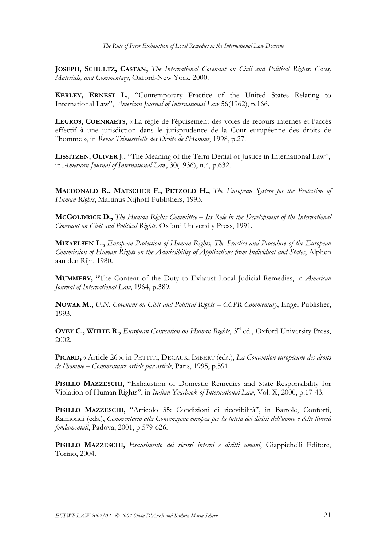JOSEPH, SCHULTZ, CASTAN, The International Covenant on Civil and Political Rights: Cases, Materials, and Commentary, Oxford-New York, 2000.

KERLEY, ERNEST L., "Contemporary Practice of the United States Relating to International Law", American Journal of International Law 56(1962), p.166.

LEGROS, COENRAETS, « La règle de l'épuisement des voies de recours internes et l'accès effectif à une jurisdiction dans le jurisprudence de la Cour européenne des droits de l'homme », in Revue Trimestrielle des Droits de l'Homme, 1998, p.27.

LISSITZEN, OLIVER J., "The Meaning of the Term Denial of Justice in International Law", in American Journal of International Law, 30(1936), n.4, p.632.

MACDONALD R., MATSCHER F., PETZOLD H., The European System for the Protection of Human Rights, Martinus Nijhoff Publishers, 1993.

**MCGOLDRICK D.,** The Human Rights Committee  $-$  Its Role in the Development of the International Covenant on Civil and Political Rights, Oxford University Press, 1991.

MIKAELSEN L., European Protection of Human Rights, The Practice and Procedure of the European Commission of Human Rights on the Admissibility of Applications from Individual and States, Alphen aan den Rijn, 1980.

MUMMERY, "The Content of the Duty to Exhaust Local Judicial Remedies, in American Journal of International Law, 1964, p.389.

NOWAK M., U.N. Covenant on Civil and Political Rights – CCPR Commentary, Engel Publisher, 1993.

OVEY C., WHITE R., European Convention on Human Rights, 3<sup>rd</sup> ed., Oxford University Press, 2002.

PICARD, « Article 26 », in PETTITI, DECAUX, IMBERT (eds.), La Convention européenne des droits de l'homme – Commentaire article par article, Paris, 1995, p.591.

PISILLO MAZZESCHI, "Exhaustion of Domestic Remedies and State Responsibility for Violation of Human Rights", in Italian Yearbook of International Law, Vol. X, 2000, p.17-43.

PISILLO MAZZESCHI, "Articolo 35: Condizioni di ricevibilità", in Bartole, Conforti, Raimondi (eds.), Commentario alla Convenzione europea per la tutela dei diritti dell'uomo e delle libertà fondamentali, Padova, 2001, p.579-626.

PISILLO MAZZESCHI, Esaurimento dei ricorsi interni e diritti umani, Giappichelli Editore, Torino, 2004.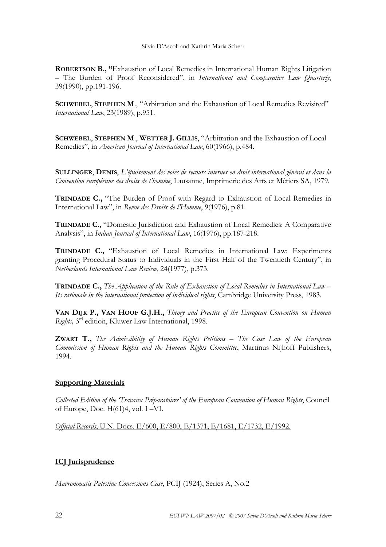ROBERTSON B., "Exhaustion of Local Remedies in International Human Rights Litigation – The Burden of Proof Reconsidered", in International and Comparative Law Quarterly, 39(1990), pp.191-196.

SCHWEBEL, STEPHEN M., "Arbitration and the Exhaustion of Local Remedies Revisited" International Law, 23(1989), p.951.

SCHWEBEL, STEPHEN M., WETTER J. GILLIS, "Arbitration and the Exhaustion of Local Remedies", in *American Journal of International Law*, 60(1966), p.484.

SULLINGER, DENIS, L'épuisement des voies de recours internes en droit international général et dans la Convention européenne des droits de l'homme, Lausanne, Imprimerie des Arts et Métiers SA, 1979.

TRINDADE C., "The Burden of Proof with Regard to Exhaustion of Local Remedies in International Law", in Revue des Droits de l'Homme, 9(1976), p.81.

TRINDADE C., "Domestic Jurisdiction and Exhaustion of Local Remedies: A Comparative Analysis", in *Indian Journal of International Law*, 16(1976), pp.187-218.

TRINDADE C., "Exhaustion of Local Remedies in International Law: Experiments granting Procedural Status to Individuals in the First Half of the Twentieth Century", in Netherlands International Law Review, 24(1977), p.373.

TRINDADE C., The Application of the Rule of Exhaustion of Local Remedies in International Law – Its rationale in the international protection of individual rights, Cambridge University Press, 1983.

VAN DIJK P., VAN HOOF G.J.H., Theory and Practice of the European Convention on Human Rights, 3<sup>rd</sup> edition, Kluwer Law International, 1998.

**ZWART T.,** The Admissibility of Human Rights Petitions – The Case Law of the European Commission of Human Rights and the Human Rights Committee, Martinus Nijhoff Publishers, 1994.

## Supporting Materials

Collected Edition of the 'Travaux Préparatoires' of the European Convention of Human Rights, Council of Europe, Doc. H(61)4, vol. I –VI.

Official Records, U.N. Docs. E/600, E/800, E/1371, E/1681, E/1732, E/1992.

# **ICJ** Jurisprudence

Mavrommatis Palestine Concessions Case, PCIJ (1924), Series A, No.2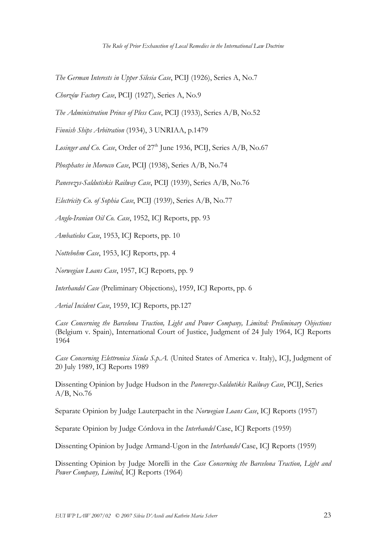The German Interests in Upper Silesia Case, PCIJ (1926), Series A, No.7

Chorzów Factory Case, PCIJ (1927), Series A, No.9

The Administration Prince of Pless Case, PCIJ (1933), Series A/B, No.52

Finnish Ships Arbitration (1934), 3 UNRIAA, p.1479

Losinger and Co. Case, Order of  $27<sup>th</sup>$  June 1936, PCIJ, Series A/B, No.67

Phosphates in Morocco Case, PCIJ (1938), Series A/B, No.74

Panevezys-Saldutiskis Railway Case, PCIJ (1939), Series A/B, No.76

Electricity Co. of Sophia Case, PCIJ (1939), Series A/B, No.77

Anglo-Iranian Oil Co. Case, 1952, ICJ Reports, pp. 93

Ambatielos Case, 1953, ICJ Reports, pp. 10

Nottebohm Case, 1953, ICJ Reports, pp. 4

Norwegian Loans Case, 1957, ICJ Reports, pp. 9

Interhandel Case (Preliminary Objections), 1959, ICJ Reports, pp. 6

Aerial Incident Case, 1959, ICJ Reports, pp.127

Case Concerning the Barcelona Traction, Light and Power Company, Limited: Preliminary Objections (Belgium v. Spain), International Court of Justice, Judgment of 24 July 1964, ICJ Reports 1964

Case Concerning Elettronica Sicula S.p.A. (United States of America v. Italy), ICJ, Judgment of 20 July 1989, ICJ Reports 1989

Dissenting Opinion by Judge Hudson in the *Panevezys-Saldutikis Railway Case*, PCIJ, Series A/B, No.76

Separate Opinion by Judge Lauterpacht in the Norwegian Loans Case, ICJ Reports (1957)

Separate Opinion by Judge Córdova in the Interhandel Case, ICJ Reports (1959)

Dissenting Opinion by Judge Armand-Ugon in the Interhandel Case, ICJ Reports (1959)

Dissenting Opinion by Judge Morelli in the *Case Concerning the Barcelona Traction*, Light and Power Company, Limited, ICJ Reports (1964)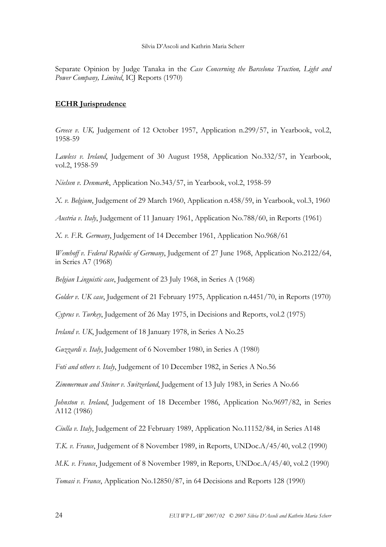Separate Opinion by Judge Tanaka in the *Case Concerning the Barcelona Traction*, Light and Power Company, Limited, ICJ Reports (1970)

## ECHR Jurisprudence

Greece v. UK, Judgement of 12 October 1957, Application n.299/57, in Yearbook, vol.2, 1958-59

Lawless v. Ireland, Judgement of 30 August 1958, Application No.332/57, in Yearbook, vol.2, 1958-59

Nielsen v. Denmark, Application No.343/57, in Yearbook, vol.2, 1958-59

X. v. Belgium, Judgement of 29 March 1960, Application n.458/59, in Yearbook, vol.3, 1960

Austria v. Italy, Judgement of 11 January 1961, Application No.788/60, in Reports (1961)

X. v. F.R. Germany, Judgement of 14 December 1961, Application No.968/61

Wemhoff v. Federal Republic of Germany, Judgement of 27 June 1968, Application No.2122/64, in Series A7 (1968)

Belgian Linguistic case, Judgement of 23 July 1968, in Series A (1968)

Golder v. UK case, Judgement of 21 February 1975, Application n.4451/70, in Reports (1970)

Cyprus v. Turkey, Judgement of 26 May 1975, in Decisions and Reports, vol.2 (1975)

Ireland v. UK, Judgement of 18 January 1978, in Series A No.25

Guzzardi v. Italy, Judgement of 6 November 1980, in Series A (1980)

Foti and others v. Italy, Judgement of 10 December 1982, in Series A No.56

Zimmerman and Steiner v. Switzerland, Judgement of 13 July 1983, in Series A No.66

Johnston v. Ireland, Judgement of 18 December 1986, Application No.9697/82, in Series A112 (1986)

Ciulla v. Italy, Judgement of 22 February 1989, Application No.11152/84, in Series A148

T.K. v. France, Judgement of 8 November 1989, in Reports, UNDoc. $A/45/40$ , vol.2 (1990)

M.K. v. France, Judgement of 8 November 1989, in Reports, UNDoc. $A/45/40$ , vol.2 (1990)

Tomasi v. France, Application No.12850/87, in 64 Decisions and Reports 128 (1990)